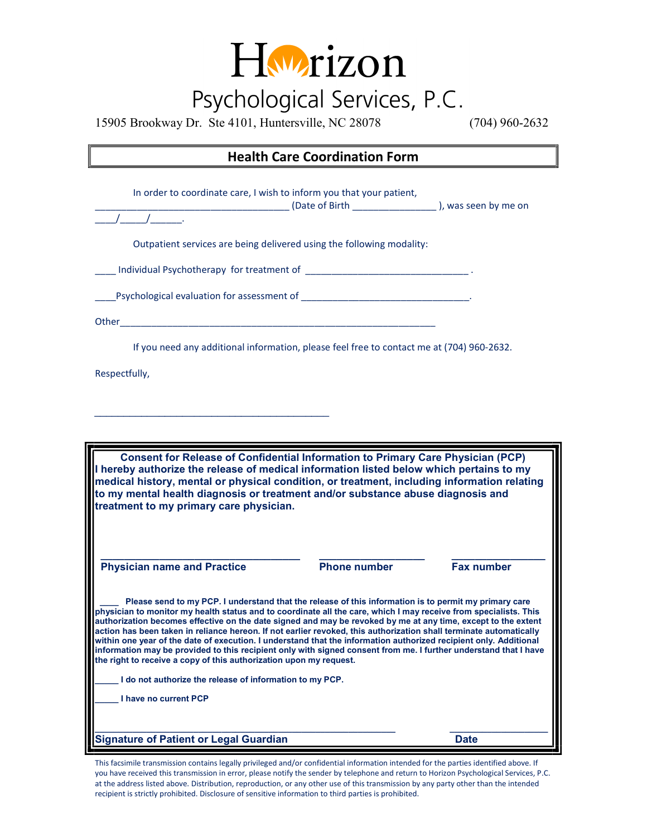

15905 Brookway Dr. Ste 4101, Huntersville, NC 28078 (704) 960-2632

## Health Care Coordination Form

In order to coordinate care, I wish to inform you that your patient, \_\_\_\_\_\_\_\_\_\_\_\_\_\_\_\_\_\_\_\_\_\_\_\_\_\_\_\_\_\_\_\_\_\_\_\_\_ (Date of Birth \_\_\_\_\_\_\_\_\_\_\_\_\_\_\_\_ ), was seen by me on  $\frac{1}{\sqrt{2\pi}}$ Outpatient services are being delivered using the following modality: \_\_\_\_ Individual Psychotherapy for treatment of \_\_\_\_\_\_\_\_\_\_\_\_\_\_\_\_\_\_\_\_\_\_\_\_\_\_\_\_\_\_\_ . \_\_\_\_Psychological evaluation for assessment of \_\_\_\_\_\_\_\_\_\_\_\_\_\_\_\_\_\_\_\_\_\_\_\_\_\_\_\_\_\_\_\_. Other If you need any additional information, please feel free to contact me at (704) 960‐2632. Respectfully, \_\_\_\_\_\_\_\_\_\_\_\_\_\_\_\_\_\_\_\_\_\_\_\_\_\_\_\_\_\_\_\_\_\_\_\_\_\_\_\_ Consent for Release of Confidential Information to Primary Care Physician (PCP) I hereby authorize the release of medical information listed below which pertains to my medical history, mental or physical condition, or treatment, including information relating to my mental health diagnosis or treatment and/or substance abuse diagnosis and treatment to my primary care physician. \_\_\_\_\_\_\_\_\_\_\_\_\_\_\_\_\_\_\_\_\_\_\_\_\_\_\_\_\_\_\_\_\_\_ \_\_\_\_\_\_\_\_\_\_\_\_\_\_\_\_\_\_ \_\_\_\_\_\_\_\_\_\_\_\_\_\_\_\_ Physician name and Practice **Phone number** Phone number Fax number Please send to my PCP. I understand that the release of this information is to permit my primary care physician to monitor my health status and to coordinate all the care, which I may receive from specialists. This authorization becomes effective on the date signed and may be revoked by me at any time, except to the extent action has been taken in reliance hereon. If not earlier revoked, this authorization shall terminate automatically

the right to receive a copy of this authorization upon my request. \_\_\_\_\_ I do not authorize the release of information to my PCP.

\_\_\_\_\_ I have no current PCP

Signature of Patient or Legal Guardian Date

This facsimile transmission contains legally privileged and/or confidential information intended for the parties identified above. If you have received this transmission in error, please notify the sender by telephone and return to Horizon Psychological Services, P.C. at the address listed above. Distribution, reproduction, or any other use of this transmission by any party other than the intended recipient is strictly prohibited. Disclosure of sensitive information to third parties is prohibited.

\_\_\_\_\_\_\_\_\_\_\_\_\_\_\_\_\_\_\_\_\_\_\_\_\_\_\_\_\_\_\_\_\_\_\_\_\_\_\_\_\_\_\_\_\_\_\_\_\_\_\_\_\_\_\_\_\_\_\_\_\_\_\_\_ \_\_\_\_\_\_\_\_\_\_\_\_\_\_\_\_\_\_\_\_\_

within one year of the date of execution. I understand that the information authorized recipient only. Additional information may be provided to this recipient only with signed consent from me. I further understand that I have